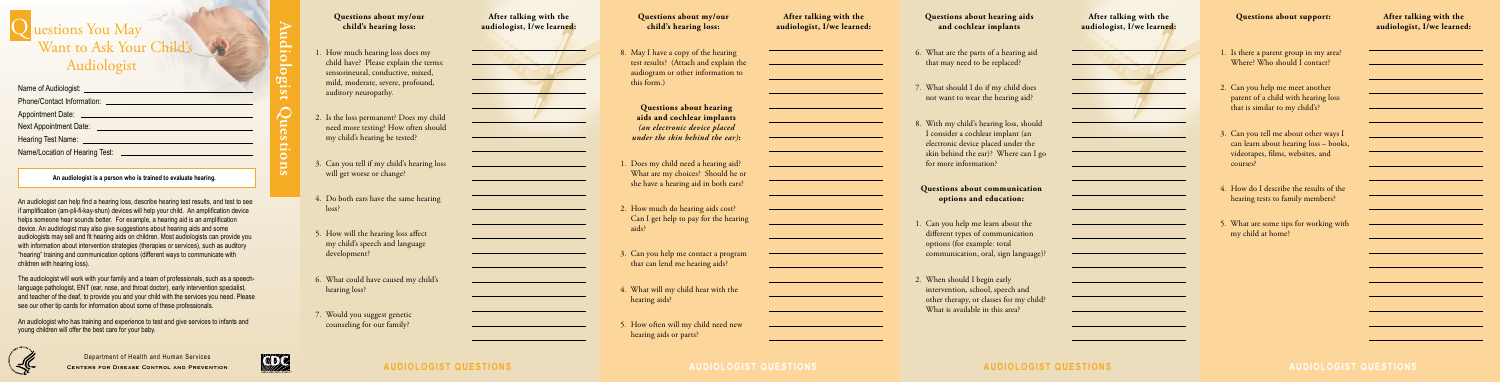Department of Health and Human Services **Centers for Disease Control and Prevention**



# Q uestions You May Want to Ask Your Child's Audiologist

# **audiologist QUESTIONS audiologist QUESTIONS audiologist QUESTIONS audiologist QUESTIONS**

**Audiologist Questions**

**An audiologist is a person who is trained to evaluate hearing.**

An audiologist can help find a hearing loss, describe hearing test results, and test to see if amplification (am-pli-fi-kay-shun) devices will help your child. An amplification device helps someone hear sounds better. For example, a hearing aid is an amplification device. An audiologist may also give suggestions about hearing aids and some audiologists may sell and fit hearing aids on children. Most audiologists can provide you with information about intervention strategies (therapies or services), such as auditory "hearing" training and communication options (different ways to communicate with children with hearing loss).

The audiologist will work with your family and a team of professionals, such as a speechlanguage pathologist, ENT (ear, nose, and throat doctor), early intervention specialist, and teacher of the deaf, to provide you and your child with the services you need. Please see our other tip cards for information about some of these professionals.

An audiologist who has training and experience to test and give services to infants and young children will offer the best care for your baby.



## **Questions about my/our child's hearing loss:**

### **After talking with the audiologist, I/we learned:**

<u> 1989 - Johann Barn, mars ann an t-Amhain an t-Amhain an t-Amhain an t-Amhain an t-Amhain an t-Amhain an t-A</u>

<u> 1989 - Johann Barn, mars eta bainar eta idazlea (</u>

### **After talking with the audiologist, I/we learned:**



<u> 1989 - Johann Barn, mars ann an t-Amhain an t-Amhain an t-Amhain an t-Amhain an t-Amhain an t-Amhain an t-A</u>

<u> 1989 - Johann Barn, mars eta bat erroman erroman erroman erroman erroman erroman erroman erroman erroman err</u>

<u> 1999 - Johann Barn, mars eta bainar eta politikaria (h. 1908).</u>

- 1. Can you help me learn about the different types of communication options (for example: total communication, oral, sign language)?
- 2. When should I begin early intervention, school, speech and other therapy, or classes for my child? What is available in this area?

### **After talking with the audiologist, I/we learned:**



<u> 1990 - Johann Barbara, martxa a</u>

- 1. How much hearing loss does my child have? Please explain the terms: sensorineural, conductive, mixed, mild, moderate, severe, profound, auditory neuropathy.
- 2. Is the loss permanent? Does my child need more testing? How often should my child's hearing be tested?
- 3. Can you tell if my child's hearing loss will get worse or change?
- 4. Do both ears have the same hearing loss?
- 5. How will the hearing loss affect my child's speech and language development?
- 6. What could have caused my child's hearing loss?
- 7. Would you suggest genetic counseling for our family?

8. May I have a copy of the hearing test results? (Attach and explain the audiogram or other information to

this form.)

**Questions about hearing aids and cochlear implants**  *(an electronic device placed under the skin behind the ear)***:**

1. Does my child need a hearing aid? What are my choices? Should he or she have a hearing aid in both ears?

Can I get help to pay for the hearing

3. Can you help me contact a program

- 2. How much do hearing aids cost? aids?
- that can lend me hearing aids?
- 4. What will my child hear with the hearing aids?
- 5. How often will my child need new hearing aids or parts?

### **Questions about my/our child's hearing loss:**

**Questions about hearing aids and cochlear implants** 

- 6. What are the parts of a hearing aid that may need to be replaced?
- 7. What should I do if my child does not want to wear the hearing aid?
- 8. With my child's hearing loss, should I consider a cochlear implant (an electronic device placed under the skin behind the ear)? Where can I go for more information?

**Questions about communication options and education:**

### **Questions about support:**

- 1. Is there a parent group in my area? Where? Who should I contact?
- 2. Can you help me meet another parent of a child with hearing loss that is similar to my child's?
- 3. Can you tell me about other ways I can learn about hearing loss – books, videotapes, films, websites, and courses?
- 4. How do I describe the results of the hearing tests to family members?
- 5. What are some tips for working with my child at home?